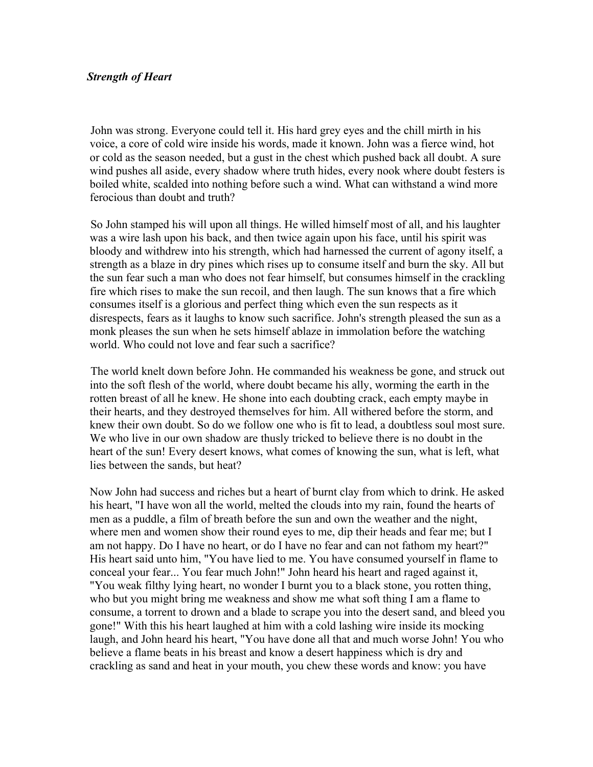## *Strength of Heart*

John was strong. Everyone could tell it. His hard grey eyes and the chill mirth in his voice, a core of cold wire inside his words, made it known. John was a fierce wind, hot or cold as the season needed, but a gust in the chest which pushed back all doubt. A sure wind pushes all aside, every shadow where truth hides, every nook where doubt festers is boiled white, scalded into nothing before such a wind. What can withstand a wind more ferocious than doubt and truth?

So John stamped his will upon all things. He willed himself most of all, and his laughter was a wire lash upon his back, and then twice again upon his face, until his spirit was bloody and withdrew into his strength, which had harnessed the current of agony itself, a strength as a blaze in dry pines which rises up to consume itself and burn the sky. All but the sun fear such a man who does not fear himself, but consumes himself in the crackling fire which rises to make the sun recoil, and then laugh. The sun knows that a fire which consumes itself is a glorious and perfect thing which even the sun respects as it disrespects, fears as it laughs to know such sacrifice. John's strength pleased the sun as a monk pleases the sun when he sets himself ablaze in immolation before the watching world. Who could not love and fear such a sacrifice?

The world knelt down before John. He commanded his weakness be gone, and struck out into the soft flesh of the world, where doubt became his ally, worming the earth in the rotten breast of all he knew. He shone into each doubting crack, each empty maybe in their hearts, and they destroyed themselves for him. All withered before the storm, and knew their own doubt. So do we follow one who is fit to lead, a doubtless soul most sure. We who live in our own shadow are thusly tricked to believe there is no doubt in the heart of the sun! Every desert knows, what comes of knowing the sun, what is left, what lies between the sands, but heat?

Now John had success and riches but a heart of burnt clay from which to drink. He asked his heart, "I have won all the world, melted the clouds into my rain, found the hearts of men as a puddle, a film of breath before the sun and own the weather and the night, where men and women show their round eyes to me, dip their heads and fear me; but I am not happy. Do I have no heart, or do I have no fear and can not fathom my heart?" His heart said unto him, "You have lied to me. You have consumed yourself in flame to conceal your fear... You fear much John!" John heard his heart and raged against it, "You weak filthy lying heart, no wonder I burnt you to a black stone, you rotten thing, who but you might bring me weakness and show me what soft thing I am a flame to consume, a torrent to drown and a blade to scrape you into the desert sand, and bleed you gone!" With this his heart laughed at him with a cold lashing wire inside its mocking laugh, and John heard his heart, "You have done all that and much worse John! You who believe a flame beats in his breast and know a desert happiness which is dry and crackling as sand and heat in your mouth, you chew these words and know: you have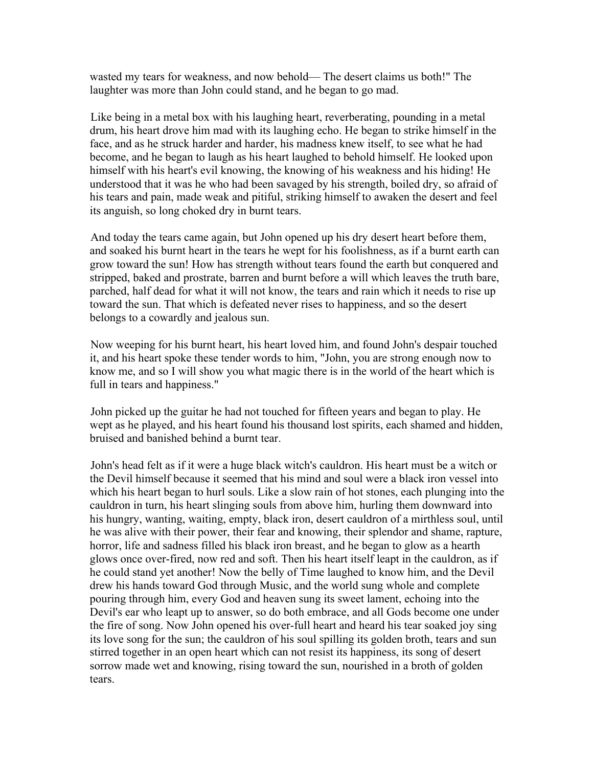wasted my tears for weakness, and now behold— The desert claims us both!" The laughter was more than John could stand, and he began to go mad.

Like being in a metal box with his laughing heart, reverberating, pounding in a metal drum, his heart drove him mad with its laughing echo. He began to strike himself in the face, and as he struck harder and harder, his madness knew itself, to see what he had become, and he began to laugh as his heart laughed to behold himself. He looked upon himself with his heart's evil knowing, the knowing of his weakness and his hiding! He understood that it was he who had been savaged by his strength, boiled dry, so afraid of his tears and pain, made weak and pitiful, striking himself to awaken the desert and feel its anguish, so long choked dry in burnt tears.

And today the tears came again, but John opened up his dry desert heart before them, and soaked his burnt heart in the tears he wept for his foolishness, as if a burnt earth can grow toward the sun! How has strength without tears found the earth but conquered and stripped, baked and prostrate, barren and burnt before a will which leaves the truth bare, parched, half dead for what it will not know, the tears and rain which it needs to rise up toward the sun. That which is defeated never rises to happiness, and so the desert belongs to a cowardly and jealous sun.

Now weeping for his burnt heart, his heart loved him, and found John's despair touched it, and his heart spoke these tender words to him, "John, you are strong enough now to know me, and so I will show you what magic there is in the world of the heart which is full in tears and happiness."

John picked up the guitar he had not touched for fifteen years and began to play. He wept as he played, and his heart found his thousand lost spirits, each shamed and hidden, bruised and banished behind a burnt tear.

John's head felt as if it were a huge black witch's cauldron. His heart must be a witch or the Devil himself because it seemed that his mind and soul were a black iron vessel into which his heart began to hurl souls. Like a slow rain of hot stones, each plunging into the cauldron in turn, his heart slinging souls from above him, hurling them downward into his hungry, wanting, waiting, empty, black iron, desert cauldron of a mirthless soul, until he was alive with their power, their fear and knowing, their splendor and shame, rapture, horror, life and sadness filled his black iron breast, and he began to glow as a hearth glows once over-fired, now red and soft. Then his heart itself leapt in the cauldron, as if he could stand yet another! Now the belly of Time laughed to know him, and the Devil drew his hands toward God through Music, and the world sung whole and complete pouring through him, every God and heaven sung its sweet lament, echoing into the Devil's ear who leapt up to answer, so do both embrace, and all Gods become one under the fire of song. Now John opened his over-full heart and heard his tear soaked joy sing its love song for the sun; the cauldron of his soul spilling its golden broth, tears and sun stirred together in an open heart which can not resist its happiness, its song of desert sorrow made wet and knowing, rising toward the sun, nourished in a broth of golden tears.